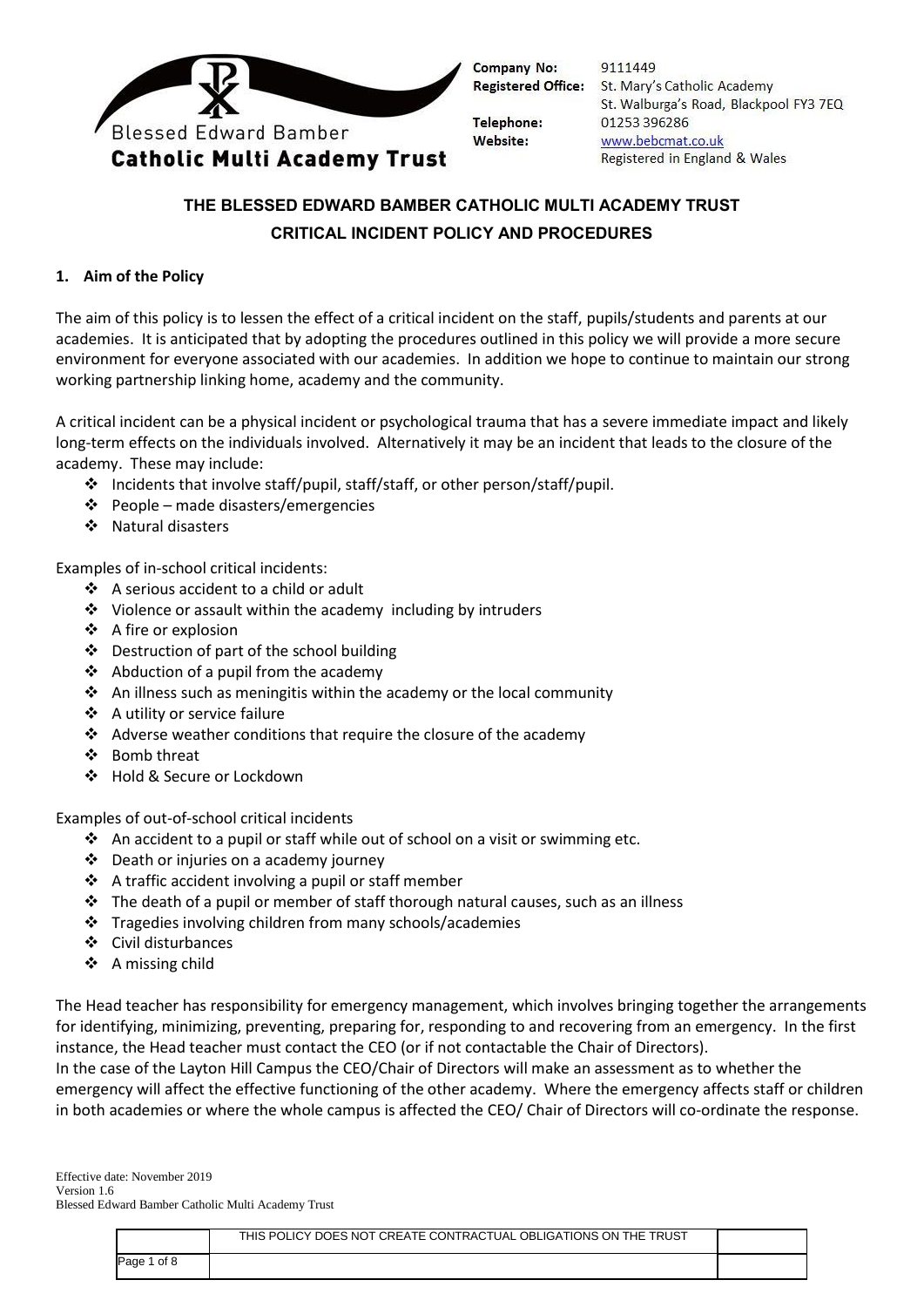

9111449 **Registered Office:** St. Mary's Catholic Academy St. Walburga's Road, Blackpool FY3 7EQ 01253 396286 www.bebcmat.co.uk Registered in England & Wales

# **THE BLESSED EDWARD BAMBER CATHOLIC MULTI ACADEMY TRUST CRITICAL INCIDENT POLICY AND PROCEDURES**

## **1. Aim of the Policy**

The aim of this policy is to lessen the effect of a critical incident on the staff, pupils/students and parents at our academies. It is anticipated that by adopting the procedures outlined in this policy we will provide a more secure environment for everyone associated with our academies. In addition we hope to continue to maintain our strong working partnership linking home, academy and the community.

A critical incident can be a physical incident or psychological trauma that has a severe immediate impact and likely long-term effects on the individuals involved. Alternatively it may be an incident that leads to the closure of the academy. These may include:

- Incidents that involve staff/pupil, staff/staff, or other person/staff/pupil.
- $\div$  People made disasters/emergencies
- ❖ Natural disasters

Examples of in-school critical incidents:

- A serious accident to a child or adult
- $\cdot$  Violence or assault within the academy including by intruders
- $\triangle$  A fire or explosion
- Destruction of part of the school building
- $\triangleleft$  Abduction of a pupil from the academy
- $\triangleleft$  An illness such as meningitis within the academy or the local community
- A utility or service failure
- $\cdot$  Adverse weather conditions that require the closure of the academy
- ❖ Bomb threat
- ❖ Hold & Secure or Lockdown

Examples of out-of-school critical incidents

- $\triangleleft$  An accident to a pupil or staff while out of school on a visit or swimming etc.
- Death or injuries on a academy journey
- $\triangleleft$  A traffic accident involving a pupil or staff member
- $\div$  The death of a pupil or member of staff thorough natural causes, such as an illness
- Tragedies involving children from many schools/academies
- Civil disturbances
- $\div$  A missing child

The Head teacher has responsibility for emergency management, which involves bringing together the arrangements for identifying, minimizing, preventing, preparing for, responding to and recovering from an emergency. In the first instance, the Head teacher must contact the CEO (or if not contactable the Chair of Directors).

In the case of the Layton Hill Campus the CEO/Chair of Directors will make an assessment as to whether the emergency will affect the effective functioning of the other academy. Where the emergency affects staff or children in both academies or where the whole campus is affected the CEO/ Chair of Directors will co-ordinate the response.

|             | THIS POLICY DOES NOT CREATE CONTRACTUAL OBLIGATIONS ON THE TRUST |  |
|-------------|------------------------------------------------------------------|--|
| Page 1 of 8 |                                                                  |  |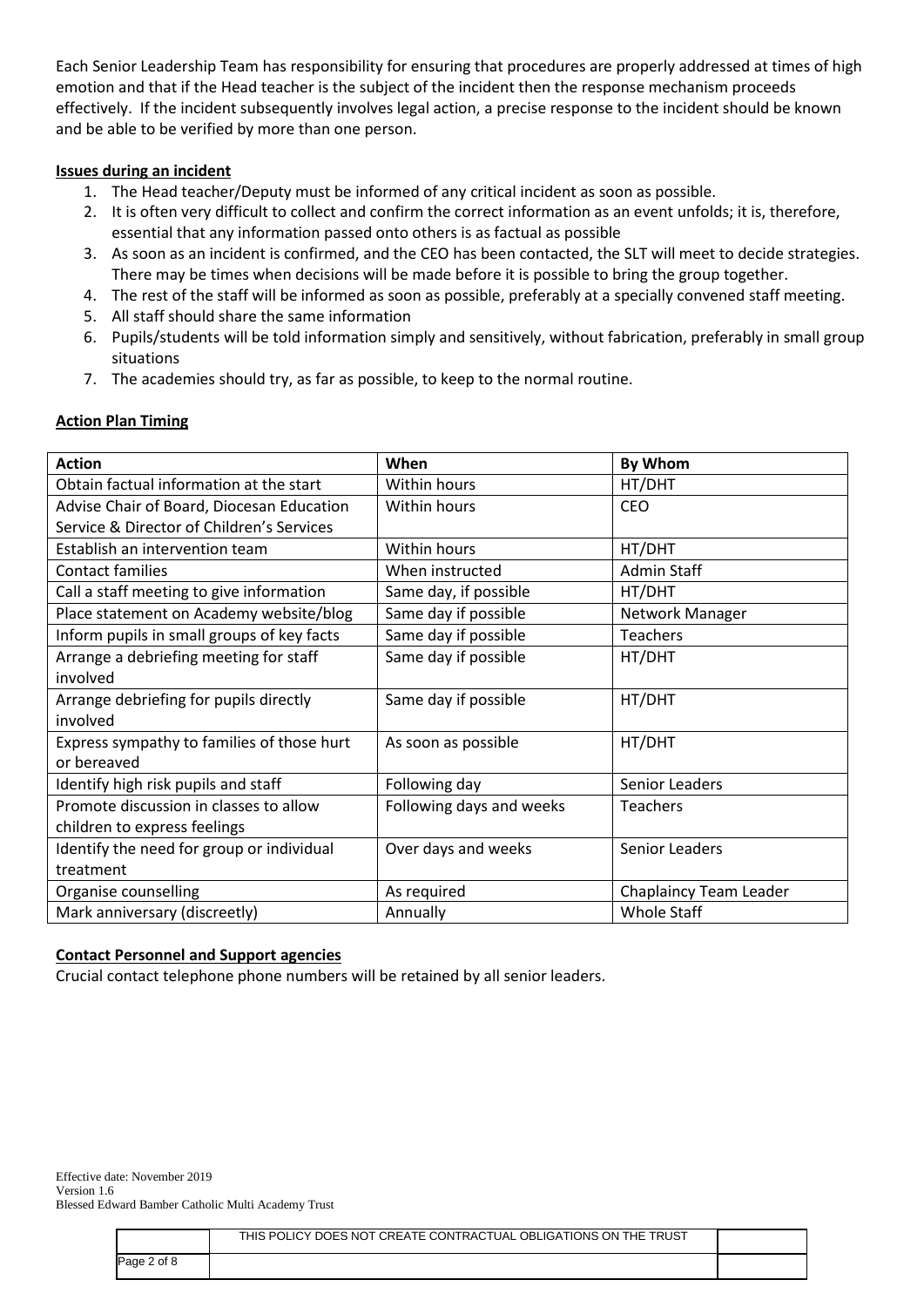Each Senior Leadership Team has responsibility for ensuring that procedures are properly addressed at times of high emotion and that if the Head teacher is the subject of the incident then the response mechanism proceeds effectively. If the incident subsequently involves legal action, a precise response to the incident should be known and be able to be verified by more than one person.

#### **Issues during an incident**

- 1. The Head teacher/Deputy must be informed of any critical incident as soon as possible.
- 2. It is often very difficult to collect and confirm the correct information as an event unfolds; it is, therefore, essential that any information passed onto others is as factual as possible
- 3. As soon as an incident is confirmed, and the CEO has been contacted, the SLT will meet to decide strategies. There may be times when decisions will be made before it is possible to bring the group together.
- 4. The rest of the staff will be informed as soon as possible, preferably at a specially convened staff meeting.
- 5. All staff should share the same information
- 6. Pupils/students will be told information simply and sensitively, without fabrication, preferably in small group situations
- 7. The academies should try, as far as possible, to keep to the normal routine.

# **Action Plan Timing**

| <b>Action</b>                              | When                     | By Whom                |
|--------------------------------------------|--------------------------|------------------------|
| Obtain factual information at the start    | Within hours             | HT/DHT                 |
| Advise Chair of Board, Diocesan Education  | Within hours             | <b>CEO</b>             |
| Service & Director of Children's Services  |                          |                        |
| Establish an intervention team             | Within hours             | HT/DHT                 |
| <b>Contact families</b>                    | When instructed          | <b>Admin Staff</b>     |
| Call a staff meeting to give information   | Same day, if possible    | HT/DHT                 |
| Place statement on Academy website/blog    | Same day if possible     | Network Manager        |
| Inform pupils in small groups of key facts | Same day if possible     | <b>Teachers</b>        |
| Arrange a debriefing meeting for staff     | Same day if possible     | HT/DHT                 |
| involved                                   |                          |                        |
| Arrange debriefing for pupils directly     | Same day if possible     | HT/DHT                 |
| involved                                   |                          |                        |
| Express sympathy to families of those hurt | As soon as possible      | HT/DHT                 |
| or bereaved                                |                          |                        |
| Identify high risk pupils and staff        | Following day            | Senior Leaders         |
| Promote discussion in classes to allow     | Following days and weeks | <b>Teachers</b>        |
| children to express feelings               |                          |                        |
| Identify the need for group or individual  | Over days and weeks      | Senior Leaders         |
| treatment                                  |                          |                        |
| Organise counselling                       | As required              | Chaplaincy Team Leader |
| Mark anniversary (discreetly)              | Annually                 | <b>Whole Staff</b>     |

# **Contact Personnel and Support agencies**

Crucial contact telephone phone numbers will be retained by all senior leaders.

|             | THIS POLICY DOES NOT CREATE CONTRACTUAL OBLIGATIONS ON THE TRUST |  |
|-------------|------------------------------------------------------------------|--|
| Page 2 of 8 |                                                                  |  |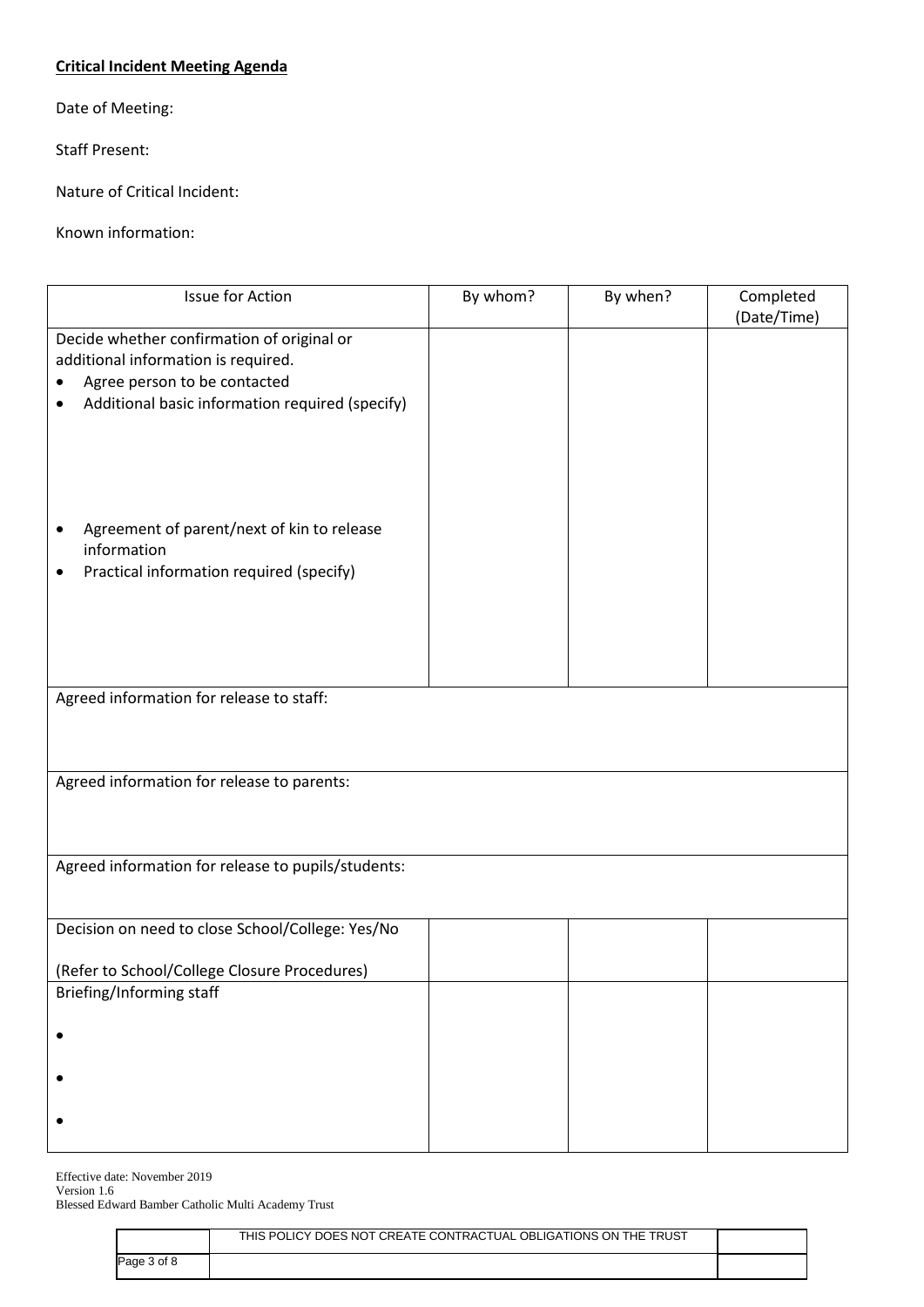## **Critical Incident Meeting Agenda**

Date of Meeting:

Staff Present:

Nature of Critical Incident:

Known information:

| Issue for Action                                                                  | By whom? | By when? | Completed   |  |
|-----------------------------------------------------------------------------------|----------|----------|-------------|--|
|                                                                                   |          |          | (Date/Time) |  |
| Decide whether confirmation of original or<br>additional information is required. |          |          |             |  |
| Agree person to be contacted                                                      |          |          |             |  |
| Additional basic information required (specify)                                   |          |          |             |  |
|                                                                                   |          |          |             |  |
| Agreement of parent/next of kin to release                                        |          |          |             |  |
| information                                                                       |          |          |             |  |
| Practical information required (specify)<br>٠                                     |          |          |             |  |
|                                                                                   |          |          |             |  |
|                                                                                   |          |          |             |  |
|                                                                                   |          |          |             |  |
|                                                                                   |          |          |             |  |
| Agreed information for release to staff:                                          |          |          |             |  |
|                                                                                   |          |          |             |  |
| Agreed information for release to parents:                                        |          |          |             |  |
|                                                                                   |          |          |             |  |
| Agreed information for release to pupils/students:                                |          |          |             |  |
|                                                                                   |          |          |             |  |
| Decision on need to close School/College: Yes/No                                  |          |          |             |  |
|                                                                                   |          |          |             |  |
| (Refer to School/College Closure Procedures)                                      |          |          |             |  |
| Briefing/Informing staff                                                          |          |          |             |  |
|                                                                                   |          |          |             |  |
|                                                                                   |          |          |             |  |
|                                                                                   |          |          |             |  |
|                                                                                   |          |          |             |  |
|                                                                                   |          |          |             |  |
|                                                                                   |          |          |             |  |

|             | THIS POLICY DOES NOT CREATE CONTRACTUAL OBLIGATIONS ON THE TRUST |  |
|-------------|------------------------------------------------------------------|--|
| Page 3 of 8 |                                                                  |  |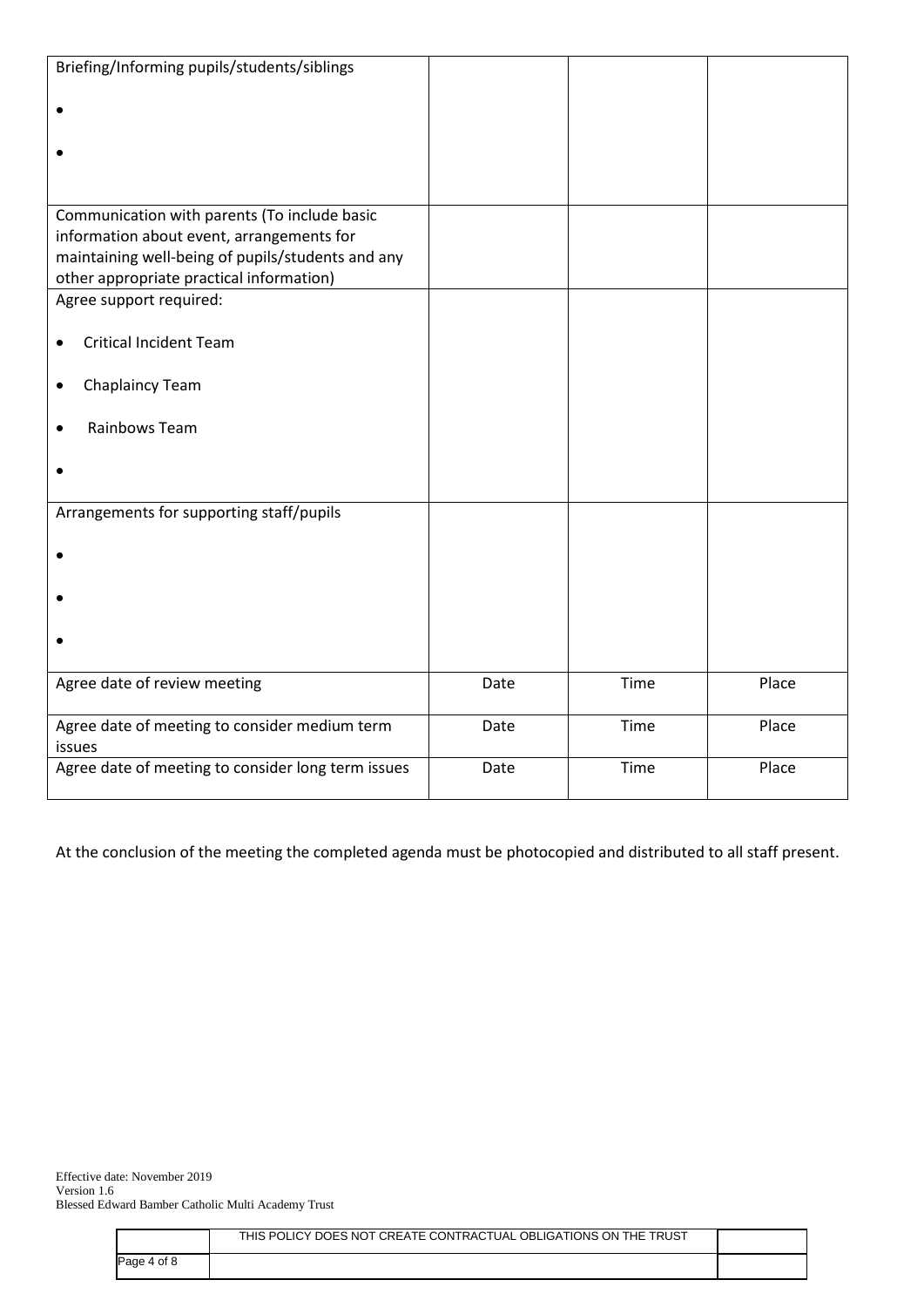| Briefing/Informing pupils/students/siblings                                                    |      |      |       |
|------------------------------------------------------------------------------------------------|------|------|-------|
|                                                                                                |      |      |       |
|                                                                                                |      |      |       |
|                                                                                                |      |      |       |
|                                                                                                |      |      |       |
|                                                                                                |      |      |       |
| Communication with parents (To include basic                                                   |      |      |       |
| information about event, arrangements for<br>maintaining well-being of pupils/students and any |      |      |       |
| other appropriate practical information)                                                       |      |      |       |
| Agree support required:                                                                        |      |      |       |
|                                                                                                |      |      |       |
| <b>Critical Incident Team</b>                                                                  |      |      |       |
|                                                                                                |      |      |       |
| <b>Chaplaincy Team</b>                                                                         |      |      |       |
| Rainbows Team                                                                                  |      |      |       |
|                                                                                                |      |      |       |
|                                                                                                |      |      |       |
|                                                                                                |      |      |       |
| Arrangements for supporting staff/pupils                                                       |      |      |       |
|                                                                                                |      |      |       |
|                                                                                                |      |      |       |
|                                                                                                |      |      |       |
|                                                                                                |      |      |       |
|                                                                                                |      |      |       |
|                                                                                                |      |      |       |
| Agree date of review meeting                                                                   | Date | Time | Place |
|                                                                                                |      |      |       |
| Agree date of meeting to consider medium term                                                  | Date | Time | Place |
| issues                                                                                         |      |      |       |
| Agree date of meeting to consider long term issues                                             | Date | Time | Place |
|                                                                                                |      |      |       |

At the conclusion of the meeting the completed agenda must be photocopied and distributed to all staff present.

|             | THIS POLICY DOES NOT CREATE CONTRACTUAL OBLIGATIONS ON THE TRUST |  |
|-------------|------------------------------------------------------------------|--|
| Page 4 of 8 |                                                                  |  |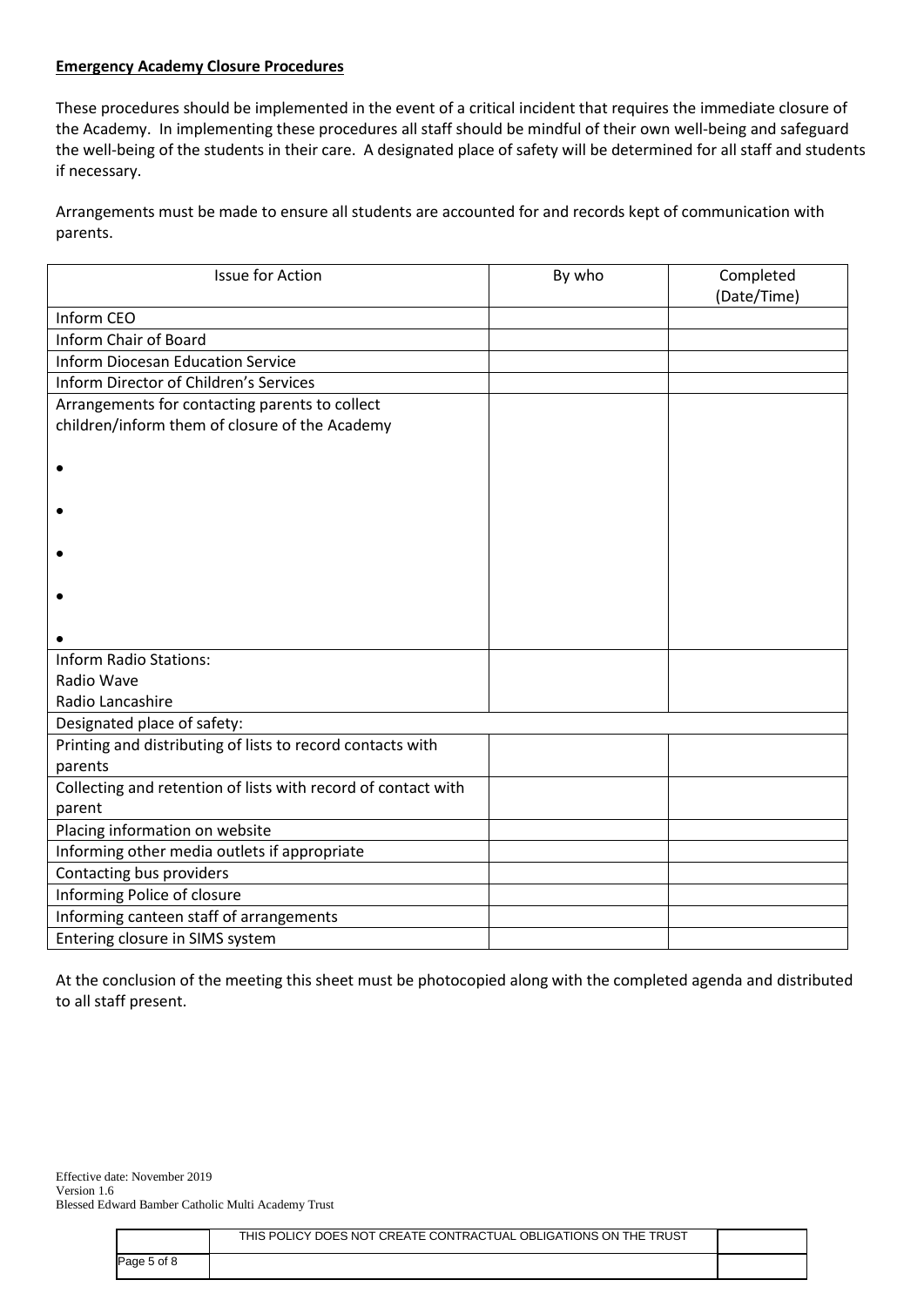# **Emergency Academy Closure Procedures**

These procedures should be implemented in the event of a critical incident that requires the immediate closure of the Academy. In implementing these procedures all staff should be mindful of their own well-being and safeguard the well-being of the students in their care. A designated place of safety will be determined for all staff and students if necessary.

Arrangements must be made to ensure all students are accounted for and records kept of communication with parents.

| <b>Issue for Action</b>                                       | By who | Completed<br>(Date/Time) |
|---------------------------------------------------------------|--------|--------------------------|
| Inform CEO                                                    |        |                          |
| <b>Inform Chair of Board</b>                                  |        |                          |
| <b>Inform Diocesan Education Service</b>                      |        |                          |
| Inform Director of Children's Services                        |        |                          |
| Arrangements for contacting parents to collect                |        |                          |
| children/inform them of closure of the Academy                |        |                          |
|                                                               |        |                          |
|                                                               |        |                          |
|                                                               |        |                          |
|                                                               |        |                          |
|                                                               |        |                          |
| <b>Inform Radio Stations:</b>                                 |        |                          |
| Radio Wave                                                    |        |                          |
| Radio Lancashire                                              |        |                          |
| Designated place of safety:                                   |        |                          |
| Printing and distributing of lists to record contacts with    |        |                          |
| parents                                                       |        |                          |
| Collecting and retention of lists with record of contact with |        |                          |
| parent                                                        |        |                          |
| Placing information on website                                |        |                          |
| Informing other media outlets if appropriate                  |        |                          |
| Contacting bus providers                                      |        |                          |
| Informing Police of closure                                   |        |                          |
| Informing canteen staff of arrangements                       |        |                          |
| Entering closure in SIMS system                               |        |                          |

At the conclusion of the meeting this sheet must be photocopied along with the completed agenda and distributed to all staff present.

|             | THIS POLICY DOES NOT CREATE CONTRACTUAL OBLIGATIONS ON THE TRUST |  |
|-------------|------------------------------------------------------------------|--|
| Page 5 of 8 |                                                                  |  |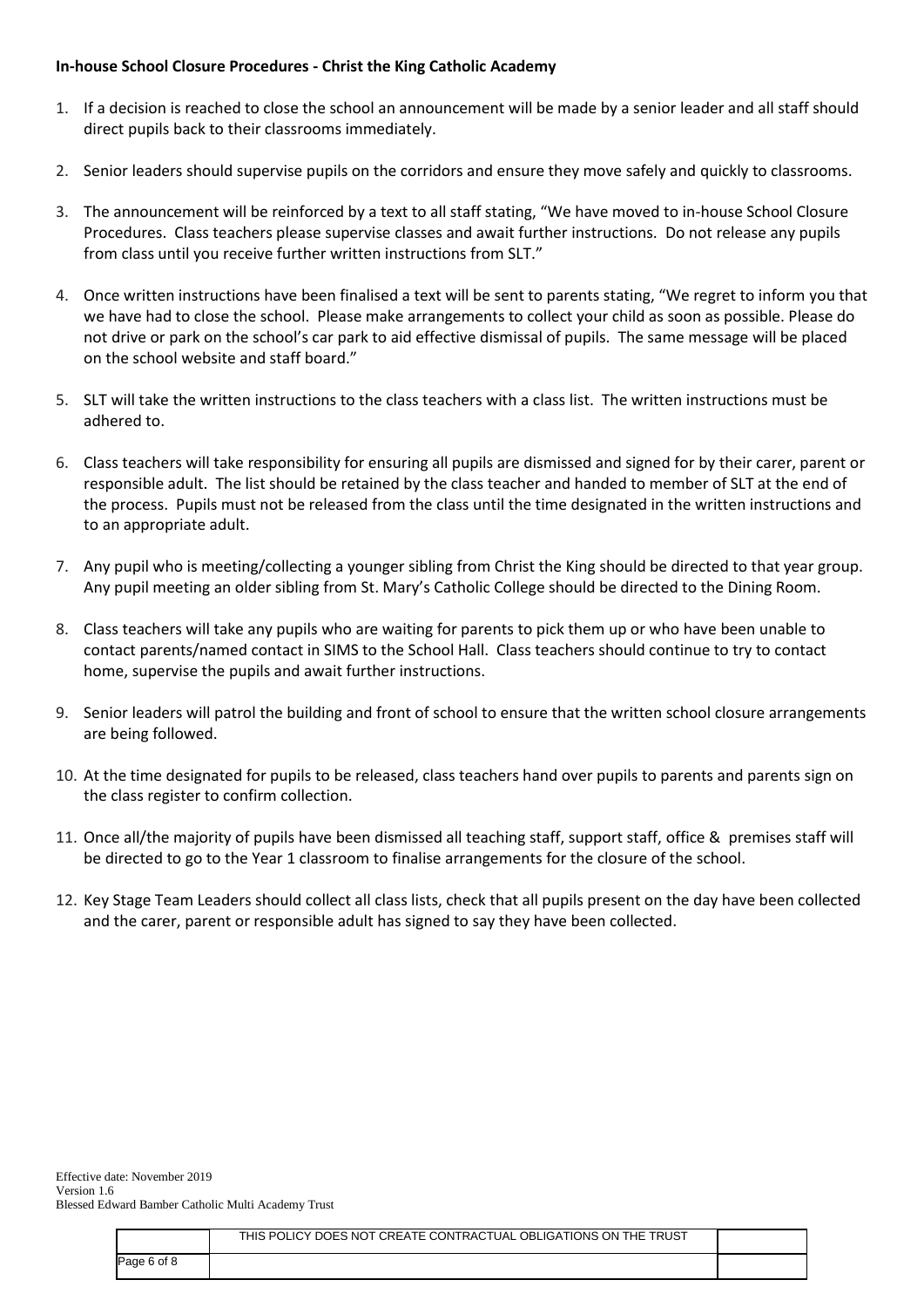### **In-house School Closure Procedures - Christ the King Catholic Academy**

- 1. If a decision is reached to close the school an announcement will be made by a senior leader and all staff should direct pupils back to their classrooms immediately.
- 2. Senior leaders should supervise pupils on the corridors and ensure they move safely and quickly to classrooms.
- 3. The announcement will be reinforced by a text to all staff stating, "We have moved to in-house School Closure Procedures. Class teachers please supervise classes and await further instructions. Do not release any pupils from class until you receive further written instructions from SLT."
- 4. Once written instructions have been finalised a text will be sent to parents stating, "We regret to inform you that we have had to close the school. Please make arrangements to collect your child as soon as possible. Please do not drive or park on the school's car park to aid effective dismissal of pupils. The same message will be placed on the school website and staff board."
- 5. SLT will take the written instructions to the class teachers with a class list. The written instructions must be adhered to.
- 6. Class teachers will take responsibility for ensuring all pupils are dismissed and signed for by their carer, parent or responsible adult. The list should be retained by the class teacher and handed to member of SLT at the end of the process. Pupils must not be released from the class until the time designated in the written instructions and to an appropriate adult.
- 7. Any pupil who is meeting/collecting a younger sibling from Christ the King should be directed to that year group. Any pupil meeting an older sibling from St. Mary's Catholic College should be directed to the Dining Room.
- 8. Class teachers will take any pupils who are waiting for parents to pick them up or who have been unable to contact parents/named contact in SIMS to the School Hall. Class teachers should continue to try to contact home, supervise the pupils and await further instructions.
- 9. Senior leaders will patrol the building and front of school to ensure that the written school closure arrangements are being followed.
- 10. At the time designated for pupils to be released, class teachers hand over pupils to parents and parents sign on the class register to confirm collection.
- 11. Once all/the majority of pupils have been dismissed all teaching staff, support staff, office & premises staff will be directed to go to the Year 1 classroom to finalise arrangements for the closure of the school.
- 12. Key Stage Team Leaders should collect all class lists, check that all pupils present on the day have been collected and the carer, parent or responsible adult has signed to say they have been collected.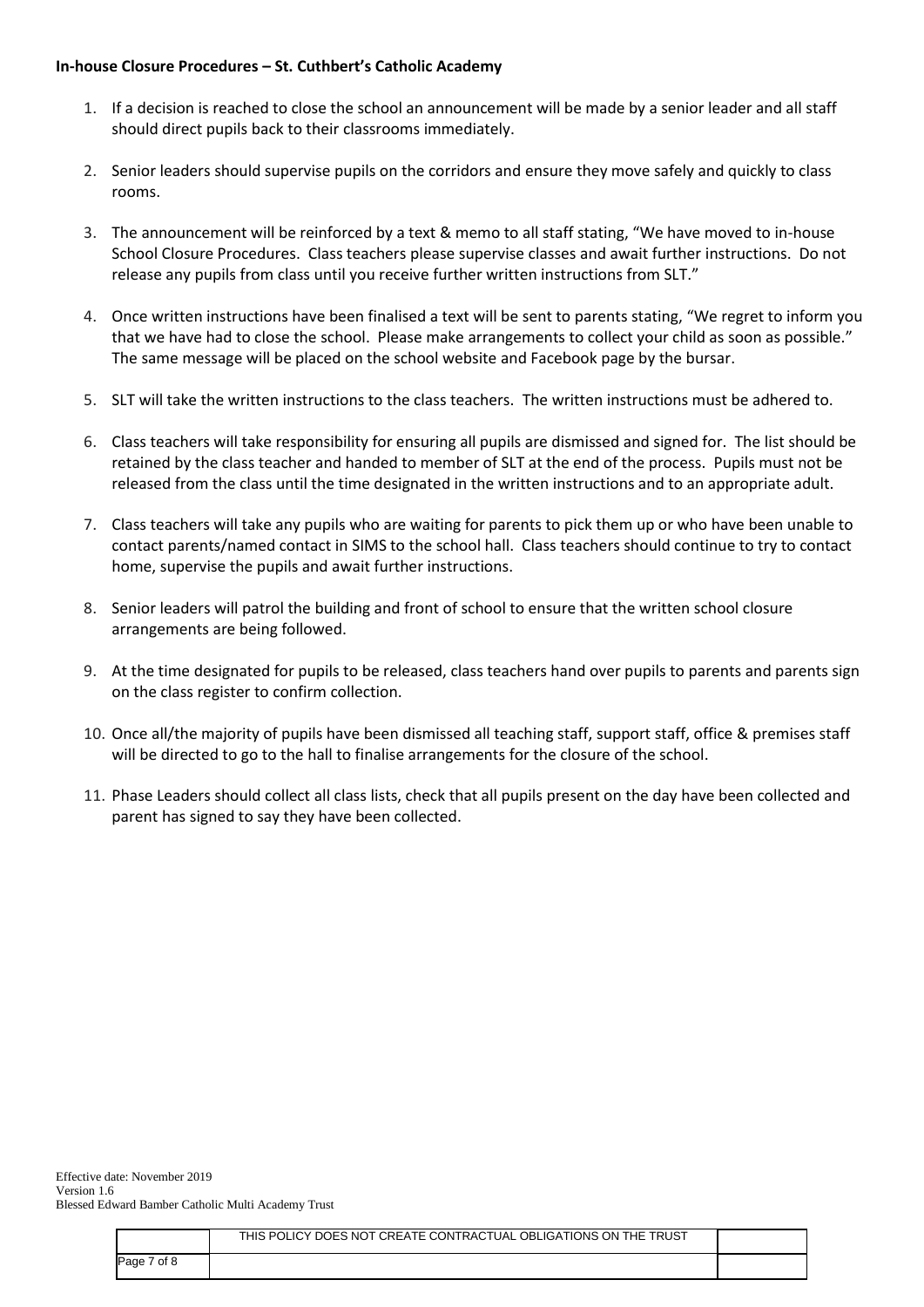### **In-house Closure Procedures – St. Cuthbert's Catholic Academy**

- 1. If a decision is reached to close the school an announcement will be made by a senior leader and all staff should direct pupils back to their classrooms immediately.
- 2. Senior leaders should supervise pupils on the corridors and ensure they move safely and quickly to class rooms.
- 3. The announcement will be reinforced by a text & memo to all staff stating, "We have moved to in-house School Closure Procedures. Class teachers please supervise classes and await further instructions. Do not release any pupils from class until you receive further written instructions from SLT."
- 4. Once written instructions have been finalised a text will be sent to parents stating, "We regret to inform you that we have had to close the school. Please make arrangements to collect your child as soon as possible." The same message will be placed on the school website and Facebook page by the bursar.
- 5. SLT will take the written instructions to the class teachers. The written instructions must be adhered to.
- 6. Class teachers will take responsibility for ensuring all pupils are dismissed and signed for. The list should be retained by the class teacher and handed to member of SLT at the end of the process. Pupils must not be released from the class until the time designated in the written instructions and to an appropriate adult.
- 7. Class teachers will take any pupils who are waiting for parents to pick them up or who have been unable to contact parents/named contact in SIMS to the school hall. Class teachers should continue to try to contact home, supervise the pupils and await further instructions.
- 8. Senior leaders will patrol the building and front of school to ensure that the written school closure arrangements are being followed.
- 9. At the time designated for pupils to be released, class teachers hand over pupils to parents and parents sign on the class register to confirm collection.
- 10. Once all/the majority of pupils have been dismissed all teaching staff, support staff, office & premises staff will be directed to go to the hall to finalise arrangements for the closure of the school.
- 11. Phase Leaders should collect all class lists, check that all pupils present on the day have been collected and parent has signed to say they have been collected.